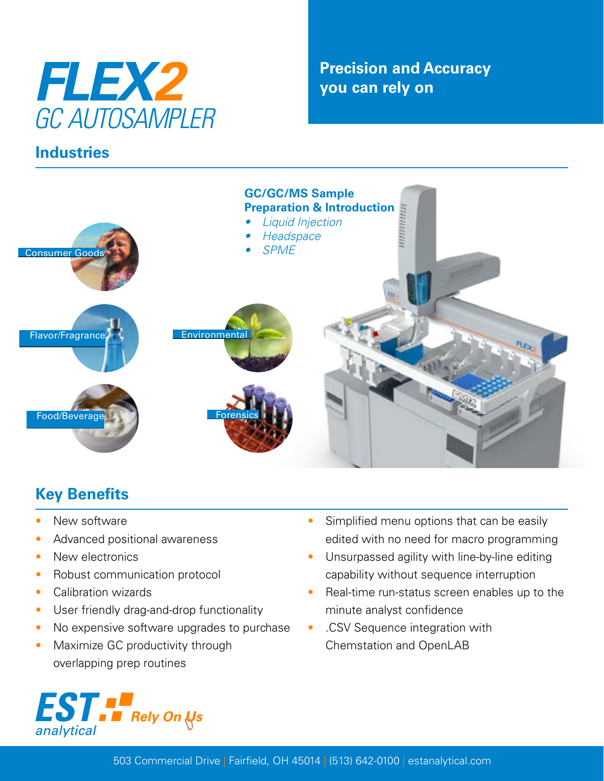

### **Industries**

## **Precision and Accuracy you can rely on**



# **Key Benefits**

- New software
- Advanced positional awareness
- New electronics
- Robust communication protocol
- Calibration wizards
- User friendly drag-and-drop functionality
- No expensive software upgrades to purchase
- Maximize GC productivity through overlapping prep routines



- Simplified menu options that can be easily edited with no need for macro programming
- Unsurpassed agility with line-by-line editing capability without sequence interruption
- Real-time run-status screen enables up to the minute analyst confidence
- .CSV Sequence integration with Chemstation and OpenLAB